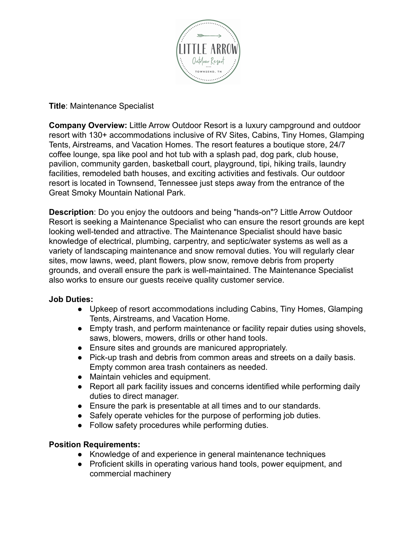

## **Title**: Maintenance Specialist

**Company Overview:** Little Arrow Outdoor Resort is a luxury campground and outdoor resort with 130+ accommodations inclusive of RV Sites, Cabins, Tiny Homes, Glamping Tents, Airstreams, and Vacation Homes. The resort features a boutique store, 24/7 coffee lounge, spa like pool and hot tub with a splash pad, dog park, club house, pavilion, community garden, basketball court, playground, tipi, hiking trails, laundry facilities, remodeled bath houses, and exciting activities and festivals. Our outdoor resort is located in Townsend, Tennessee just steps away from the entrance of the Great Smoky Mountain National Park.

**Description**: Do you enjoy the outdoors and being "hands-on"? Little Arrow Outdoor Resort is seeking a Maintenance Specialist who can ensure the resort grounds are kept looking well-tended and attractive. The Maintenance Specialist should have basic knowledge of electrical, plumbing, carpentry, and septic/water systems as well as a variety of landscaping maintenance and snow removal duties. You will regularly clear sites, mow lawns, weed, plant flowers, plow snow, remove debris from property grounds, and overall ensure the park is well-maintained. The Maintenance Specialist also works to ensure our guests receive quality customer service.

## **Job Duties:**

- Upkeep of resort accommodations including Cabins, Tiny Homes, Glamping Tents, Airstreams, and Vacation Home.
- Empty trash, and perform maintenance or facility repair duties using shovels, saws, blowers, mowers, drills or other hand tools.
- Ensure sites and grounds are manicured appropriately.
- Pick-up trash and debris from common areas and streets on a daily basis. Empty common area trash containers as needed.
- Maintain vehicles and equipment.
- Report all park facility issues and concerns identified while performing daily duties to direct manager.
- Ensure the park is presentable at all times and to our standards.
- Safely operate vehicles for the purpose of performing job duties.
- Follow safety procedures while performing duties.

# **Position Requirements:**

- Knowledge of and experience in general maintenance techniques
- Proficient skills in operating various hand tools, power equipment, and commercial machinery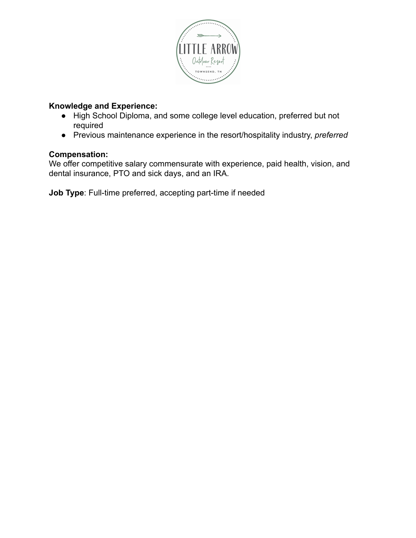

# **Knowledge and Experience:**

- High School Diploma, and some college level education, preferred but not required
- Previous maintenance experience in the resort/hospitality industry, *preferred*

## **Compensation:**

We offer competitive salary commensurate with experience, paid health, vision, and dental insurance, PTO and sick days, and an IRA.

**Job Type**: Full-time preferred, accepting part-time if needed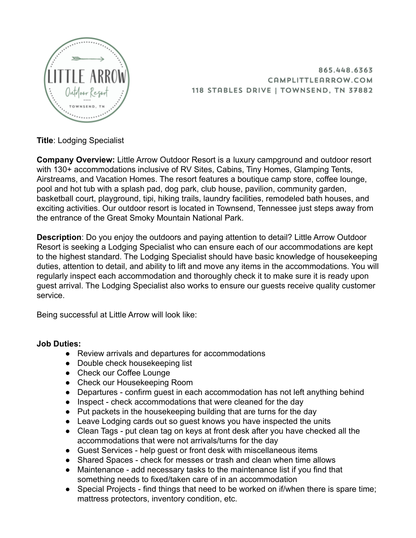

865.448.6363 CAMPLITTLEARROW.COM 118 STABLES DRIVE | TOWNSEND, TN 37882

**Title**: Lodging Specialist

**Company Overview:** Little Arrow Outdoor Resort is a luxury campground and outdoor resort with 130+ accommodations inclusive of RV Sites, Cabins, Tiny Homes, Glamping Tents, Airstreams, and Vacation Homes. The resort features a boutique camp store, coffee lounge, pool and hot tub with a splash pad, dog park, club house, pavilion, community garden, basketball court, playground, tipi, hiking trails, laundry facilities, remodeled bath houses, and exciting activities. Our outdoor resort is located in Townsend, Tennessee just steps away from the entrance of the Great Smoky Mountain National Park.

**Description**: Do you enjoy the outdoors and paying attention to detail? Little Arrow Outdoor Resort is seeking a Lodging Specialist who can ensure each of our accommodations are kept to the highest standard. The Lodging Specialist should have basic knowledge of housekeeping duties, attention to detail, and ability to lift and move any items in the accommodations. You will regularly inspect each accommodation and thoroughly check it to make sure it is ready upon guest arrival. The Lodging Specialist also works to ensure our guests receive quality customer service.

Being successful at Little Arrow will look like:

#### **Job Duties:**

- Review arrivals and departures for accommodations
- Double check housekeeping list
- Check our Coffee Lounge
- Check our Housekeeping Room
- Departures confirm guest in each accommodation has not left anything behind
- Inspect check accommodations that were cleaned for the day
- Put packets in the housekeeping building that are turns for the day
- Leave Lodging cards out so guest knows you have inspected the units
- Clean Tags put clean tag on keys at front desk after you have checked all the accommodations that were not arrivals/turns for the day
- Guest Services help guest or front desk with miscellaneous items
- Shared Spaces check for messes or trash and clean when time allows
- Maintenance add necessary tasks to the maintenance list if you find that something needs to fixed/taken care of in an accommodation
- Special Projects find things that need to be worked on if/when there is spare time; mattress protectors, inventory condition, etc.